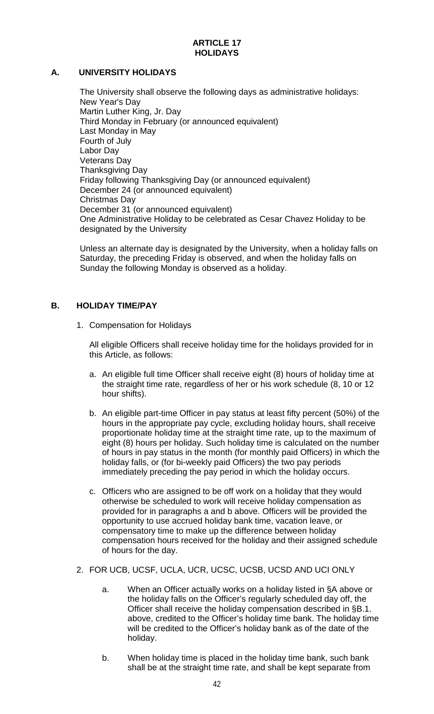### **ARTICLE 17 HOLIDAYS**

## **A. UNIVERSITY HOLIDAYS**

The University shall observe the following days as administrative holidays: New Year's Day Martin Luther King, Jr. Day Third Monday in February (or announced equivalent) Last Monday in May Fourth of July Labor Day Veterans Day Thanksgiving Day Friday following Thanksgiving Day (or announced equivalent) December 24 (or announced equivalent) Christmas Day December 31 (or announced equivalent) One Administrative Holiday to be celebrated as Cesar Chavez Holiday to be designated by the University

Unless an alternate day is designated by the University, when a holiday falls on Saturday, the preceding Friday is observed, and when the holiday falls on Sunday the following Monday is observed as a holiday.

## **B. HOLIDAY TIME/PAY**

1. Compensation for Holidays

All eligible Officers shall receive holiday time for the holidays provided for in this Article, as follows:

- a. An eligible full time Officer shall receive eight (8) hours of holiday time at the straight time rate, regardless of her or his work schedule (8, 10 or 12 hour shifts).
- b. An eligible part-time Officer in pay status at least fifty percent (50%) of the hours in the appropriate pay cycle, excluding holiday hours, shall receive proportionate holiday time at the straight time rate, up to the maximum of eight (8) hours per holiday. Such holiday time is calculated on the number of hours in pay status in the month (for monthly paid Officers) in which the holiday falls, or (for bi-weekly paid Officers) the two pay periods immediately preceding the pay period in which the holiday occurs.
- c. Officers who are assigned to be off work on a holiday that they would otherwise be scheduled to work will receive holiday compensation as provided for in paragraphs a and b above. Officers will be provided the opportunity to use accrued holiday bank time, vacation leave, or compensatory time to make up the difference between holiday compensation hours received for the holiday and their assigned schedule of hours for the day.
- 2. FOR UCB, UCSF, UCLA, UCR, UCSC, UCSB, UCSD AND UCI ONLY
	- a. When an Officer actually works on a holiday listed in §A above or the holiday falls on the Officer's regularly scheduled day off, the Officer shall receive the holiday compensation described in §B.1. above, credited to the Officer's holiday time bank. The holiday time will be credited to the Officer's holiday bank as of the date of the holiday.
	- b. When holiday time is placed in the holiday time bank, such bank shall be at the straight time rate, and shall be kept separate from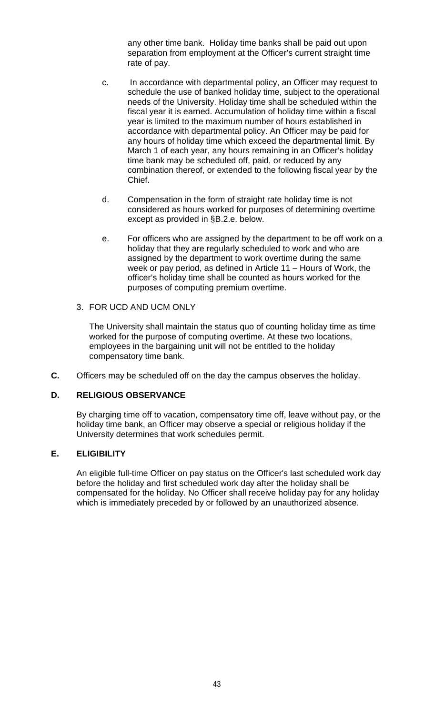any other time bank. Holiday time banks shall be paid out upon separation from employment at the Officer's current straight time rate of pay.

- c. In accordance with departmental policy, an Officer may request to schedule the use of banked holiday time, subject to the operational needs of the University. Holiday time shall be scheduled within the fiscal year it is earned. Accumulation of holiday time within a fiscal year is limited to the maximum number of hours established in accordance with departmental policy. An Officer may be paid for any hours of holiday time which exceed the departmental limit. By March 1 of each year, any hours remaining in an Officer's holiday time bank may be scheduled off, paid, or reduced by any combination thereof, or extended to the following fiscal year by the Chief.
- d. Compensation in the form of straight rate holiday time is not considered as hours worked for purposes of determining overtime except as provided in §B.2.e. below.
- e. For officers who are assigned by the department to be off work on a holiday that they are regularly scheduled to work and who are assigned by the department to work overtime during the same week or pay period, as defined in Article 11 – Hours of Work, the officer's holiday time shall be counted as hours worked for the purposes of computing premium overtime.

### 3. FOR UCD AND UCM ONLY

The University shall maintain the status quo of counting holiday time as time worked for the purpose of computing overtime. At these two locations, employees in the bargaining unit will not be entitled to the holiday compensatory time bank.

**C.** Officers may be scheduled off on the day the campus observes the holiday.

### **D. RELIGIOUS OBSERVANCE**

By charging time off to vacation, compensatory time off, leave without pay, or the holiday time bank, an Officer may observe a special or religious holiday if the University determines that work schedules permit.

### **E. ELIGIBILITY**

An eligible full-time Officer on pay status on the Officer's last scheduled work day before the holiday and first scheduled work day after the holiday shall be compensated for the holiday. No Officer shall receive holiday pay for any holiday which is immediately preceded by or followed by an unauthorized absence.